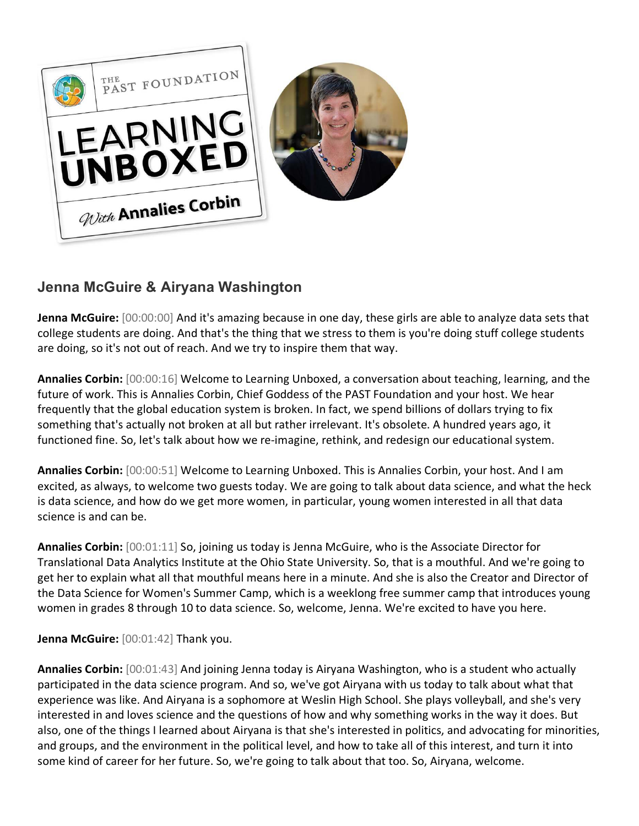

## **Jenna McGuire & Airyana Washington**

**Jenna McGuire:** [00:00:00] And it's amazing because in one day, these girls are able to analyze data sets that college students are doing. And that's the thing that we stress to them is you're doing stuff college students are doing, so it's not out of reach. And we try to inspire them that way.

**Annalies Corbin:** [00:00:16] Welcome to Learning Unboxed, a conversation about teaching, learning, and the future of work. This is Annalies Corbin, Chief Goddess of the PAST Foundation and your host. We hear frequently that the global education system is broken. In fact, we spend billions of dollars trying to fix something that's actually not broken at all but rather irrelevant. It's obsolete. A hundred years ago, it functioned fine. So, let's talk about how we re-imagine, rethink, and redesign our educational system.

**Annalies Corbin:** [00:00:51] Welcome to Learning Unboxed. This is Annalies Corbin, your host. And I am excited, as always, to welcome two guests today. We are going to talk about data science, and what the heck is data science, and how do we get more women, in particular, young women interested in all that data science is and can be.

**Annalies Corbin:** [00:01:11] So, joining us today is Jenna McGuire, who is the Associate Director for Translational Data Analytics Institute at the Ohio State University. So, that is a mouthful. And we're going to get her to explain what all that mouthful means here in a minute. And she is also the Creator and Director of the Data Science for Women's Summer Camp, which is a weeklong free summer camp that introduces young women in grades 8 through 10 to data science. So, welcome, Jenna. We're excited to have you here.

**Jenna McGuire:** [00:01:42] Thank you.

**Annalies Corbin:** [00:01:43] And joining Jenna today is Airyana Washington, who is a student who actually participated in the data science program. And so, we've got Airyana with us today to talk about what that experience was like. And Airyana is a sophomore at Weslin High School. She plays volleyball, and she's very interested in and loves science and the questions of how and why something works in the way it does. But also, one of the things I learned about Airyana is that she's interested in politics, and advocating for minorities, and groups, and the environment in the political level, and how to take all of this interest, and turn it into some kind of career for her future. So, we're going to talk about that too. So, Airyana, welcome.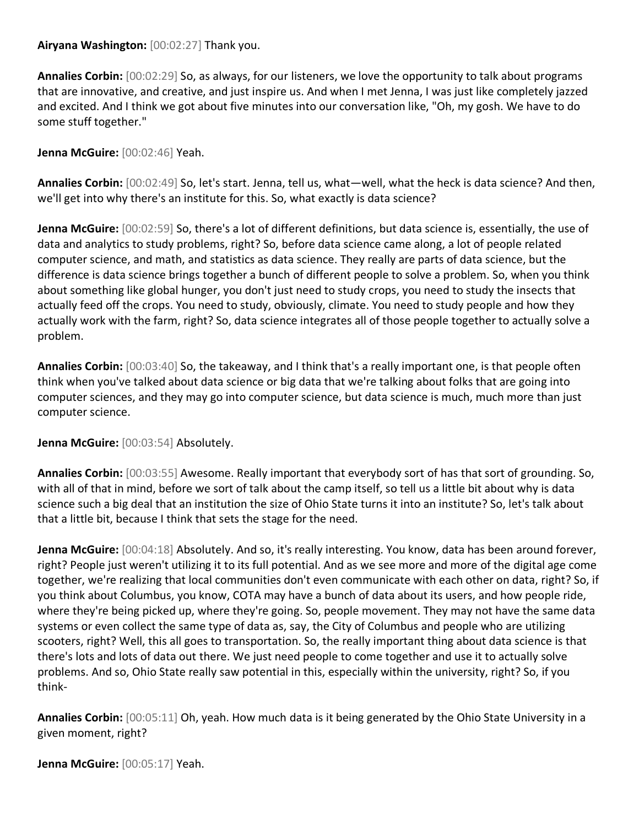## **Airyana Washington:** [00:02:27] Thank you.

**Annalies Corbin:** [00:02:29] So, as always, for our listeners, we love the opportunity to talk about programs that are innovative, and creative, and just inspire us. And when I met Jenna, I was just like completely jazzed and excited. And I think we got about five minutes into our conversation like, "Oh, my gosh. We have to do some stuff together."

**Jenna McGuire:** [00:02:46] Yeah.

**Annalies Corbin:** [00:02:49] So, let's start. Jenna, tell us, what—well, what the heck is data science? And then, we'll get into why there's an institute for this. So, what exactly is data science?

**Jenna McGuire:** [00:02:59] So, there's a lot of different definitions, but data science is, essentially, the use of data and analytics to study problems, right? So, before data science came along, a lot of people related computer science, and math, and statistics as data science. They really are parts of data science, but the difference is data science brings together a bunch of different people to solve a problem. So, when you think about something like global hunger, you don't just need to study crops, you need to study the insects that actually feed off the crops. You need to study, obviously, climate. You need to study people and how they actually work with the farm, right? So, data science integrates all of those people together to actually solve a problem.

**Annalies Corbin:** [00:03:40] So, the takeaway, and I think that's a really important one, is that people often think when you've talked about data science or big data that we're talking about folks that are going into computer sciences, and they may go into computer science, but data science is much, much more than just computer science.

## **Jenna McGuire:** [00:03:54] Absolutely.

**Annalies Corbin:** [00:03:55] Awesome. Really important that everybody sort of has that sort of grounding. So, with all of that in mind, before we sort of talk about the camp itself, so tell us a little bit about why is data science such a big deal that an institution the size of Ohio State turns it into an institute? So, let's talk about that a little bit, because I think that sets the stage for the need.

**Jenna McGuire:** [00:04:18] Absolutely. And so, it's really interesting. You know, data has been around forever, right? People just weren't utilizing it to its full potential. And as we see more and more of the digital age come together, we're realizing that local communities don't even communicate with each other on data, right? So, if you think about Columbus, you know, COTA may have a bunch of data about its users, and how people ride, where they're being picked up, where they're going. So, people movement. They may not have the same data systems or even collect the same type of data as, say, the City of Columbus and people who are utilizing scooters, right? Well, this all goes to transportation. So, the really important thing about data science is that there's lots and lots of data out there. We just need people to come together and use it to actually solve problems. And so, Ohio State really saw potential in this, especially within the university, right? So, if you think-

**Annalies Corbin:** [00:05:11] Oh, yeah. How much data is it being generated by the Ohio State University in a given moment, right?

**Jenna McGuire:** [00:05:17] Yeah.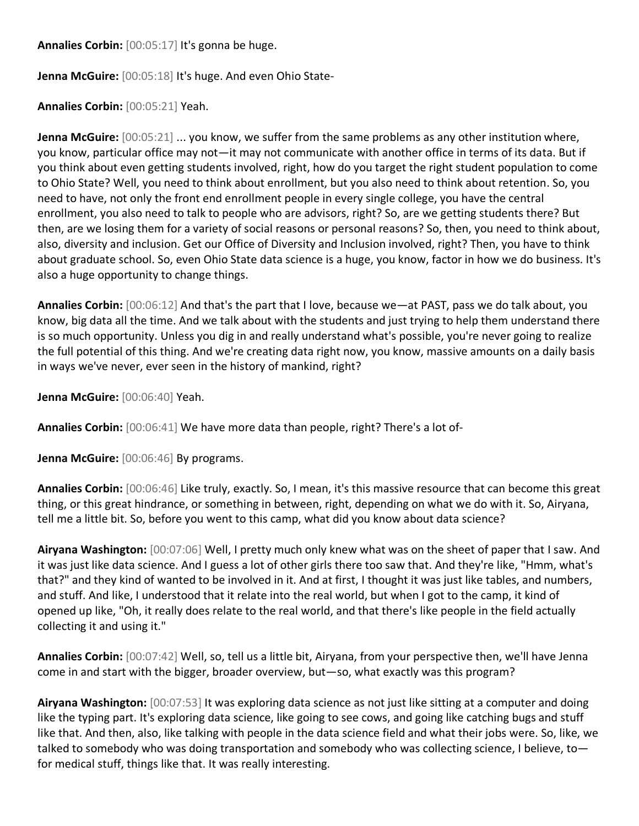**Annalies Corbin:** [00:05:17] It's gonna be huge.

**Jenna McGuire:** [00:05:18] It's huge. And even Ohio State-

**Annalies Corbin:** [00:05:21] Yeah.

**Jenna McGuire:** [00:05:21] ... you know, we suffer from the same problems as any other institution where, you know, particular office may not—it may not communicate with another office in terms of its data. But if you think about even getting students involved, right, how do you target the right student population to come to Ohio State? Well, you need to think about enrollment, but you also need to think about retention. So, you need to have, not only the front end enrollment people in every single college, you have the central enrollment, you also need to talk to people who are advisors, right? So, are we getting students there? But then, are we losing them for a variety of social reasons or personal reasons? So, then, you need to think about, also, diversity and inclusion. Get our Office of Diversity and Inclusion involved, right? Then, you have to think about graduate school. So, even Ohio State data science is a huge, you know, factor in how we do business. It's also a huge opportunity to change things.

**Annalies Corbin:** [00:06:12] And that's the part that I love, because we—at PAST, pass we do talk about, you know, big data all the time. And we talk about with the students and just trying to help them understand there is so much opportunity. Unless you dig in and really understand what's possible, you're never going to realize the full potential of this thing. And we're creating data right now, you know, massive amounts on a daily basis in ways we've never, ever seen in the history of mankind, right?

**Jenna McGuire:** [00:06:40] Yeah.

**Annalies Corbin:** [00:06:41] We have more data than people, right? There's a lot of-

**Jenna McGuire:** [00:06:46] By programs.

**Annalies Corbin:** [00:06:46] Like truly, exactly. So, I mean, it's this massive resource that can become this great thing, or this great hindrance, or something in between, right, depending on what we do with it. So, Airyana, tell me a little bit. So, before you went to this camp, what did you know about data science?

**Airyana Washington:** [00:07:06] Well, I pretty much only knew what was on the sheet of paper that I saw. And it was just like data science. And I guess a lot of other girls there too saw that. And they're like, "Hmm, what's that?" and they kind of wanted to be involved in it. And at first, I thought it was just like tables, and numbers, and stuff. And like, I understood that it relate into the real world, but when I got to the camp, it kind of opened up like, "Oh, it really does relate to the real world, and that there's like people in the field actually collecting it and using it."

**Annalies Corbin:** [00:07:42] Well, so, tell us a little bit, Airyana, from your perspective then, we'll have Jenna come in and start with the bigger, broader overview, but—so, what exactly was this program?

**Airyana Washington:** [00:07:53] It was exploring data science as not just like sitting at a computer and doing like the typing part. It's exploring data science, like going to see cows, and going like catching bugs and stuff like that. And then, also, like talking with people in the data science field and what their jobs were. So, like, we talked to somebody who was doing transportation and somebody who was collecting science, I believe, to for medical stuff, things like that. It was really interesting.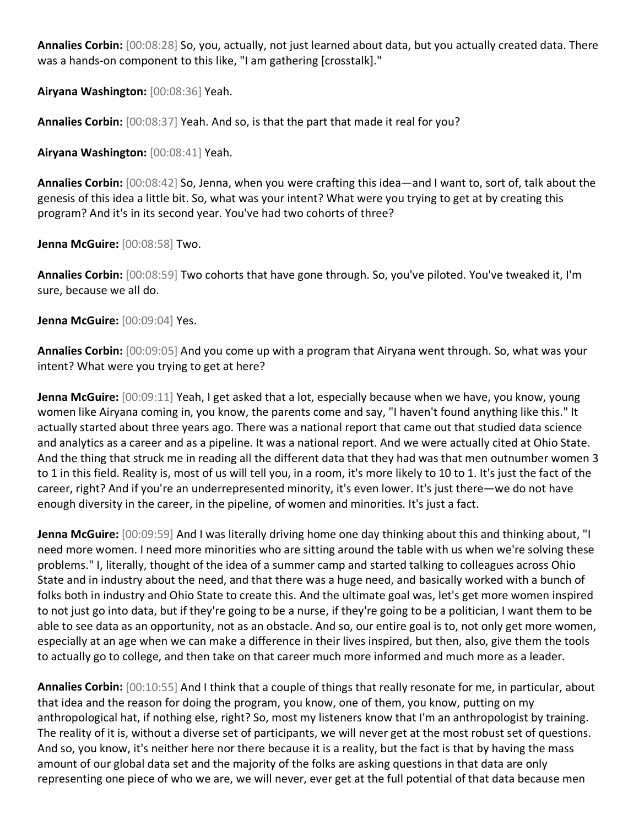**Annalies Corbin:** [00:08:28] So, you, actually, not just learned about data, but you actually created data. There was a hands-on component to this like, "I am gathering [crosstalk]."

**Airyana Washington:** [00:08:36] Yeah.

**Annalies Corbin:** [00:08:37] Yeah. And so, is that the part that made it real for you?

**Airyana Washington:** [00:08:41] Yeah.

**Annalies Corbin:** [00:08:42] So, Jenna, when you were crafting this idea—and I want to, sort of, talk about the genesis of this idea a little bit. So, what was your intent? What were you trying to get at by creating this program? And it's in its second year. You've had two cohorts of three?

**Jenna McGuire:** [00:08:58] Two.

**Annalies Corbin:** [00:08:59] Two cohorts that have gone through. So, you've piloted. You've tweaked it, I'm sure, because we all do.

**Jenna McGuire:** [00:09:04] Yes.

**Annalies Corbin:** [00:09:05] And you come up with a program that Airyana went through. So, what was your intent? What were you trying to get at here?

**Jenna McGuire:** [00:09:11] Yeah, I get asked that a lot, especially because when we have, you know, young women like Airyana coming in, you know, the parents come and say, "I haven't found anything like this." It actually started about three years ago. There was a national report that came out that studied data science and analytics as a career and as a pipeline. It was a national report. And we were actually cited at Ohio State. And the thing that struck me in reading all the different data that they had was that men outnumber women 3 to 1 in this field. Reality is, most of us will tell you, in a room, it's more likely to 10 to 1. It's just the fact of the career, right? And if you're an underrepresented minority, it's even lower. It's just there—we do not have enough diversity in the career, in the pipeline, of women and minorities. It's just a fact.

**Jenna McGuire:** [00:09:59] And I was literally driving home one day thinking about this and thinking about, "I need more women. I need more minorities who are sitting around the table with us when we're solving these problems." I, literally, thought of the idea of a summer camp and started talking to colleagues across Ohio State and in industry about the need, and that there was a huge need, and basically worked with a bunch of folks both in industry and Ohio State to create this. And the ultimate goal was, let's get more women inspired to not just go into data, but if they're going to be a nurse, if they're going to be a politician, I want them to be able to see data as an opportunity, not as an obstacle. And so, our entire goal is to, not only get more women, especially at an age when we can make a difference in their lives inspired, but then, also, give them the tools to actually go to college, and then take on that career much more informed and much more as a leader.

**Annalies Corbin:** [00:10:55] And I think that a couple of things that really resonate for me, in particular, about that idea and the reason for doing the program, you know, one of them, you know, putting on my anthropological hat, if nothing else, right? So, most my listeners know that I'm an anthropologist by training. The reality of it is, without a diverse set of participants, we will never get at the most robust set of questions. And so, you know, it's neither here nor there because it is a reality, but the fact is that by having the mass amount of our global data set and the majority of the folks are asking questions in that data are only representing one piece of who we are, we will never, ever get at the full potential of that data because men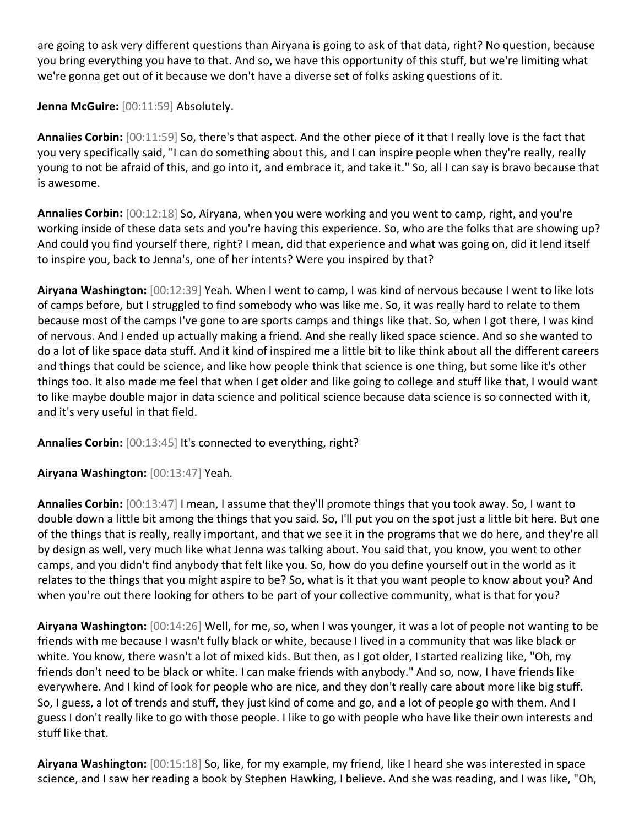are going to ask very different questions than Airyana is going to ask of that data, right? No question, because you bring everything you have to that. And so, we have this opportunity of this stuff, but we're limiting what we're gonna get out of it because we don't have a diverse set of folks asking questions of it.

**Jenna McGuire:** [00:11:59] Absolutely.

**Annalies Corbin:** [00:11:59] So, there's that aspect. And the other piece of it that I really love is the fact that you very specifically said, "I can do something about this, and I can inspire people when they're really, really young to not be afraid of this, and go into it, and embrace it, and take it." So, all I can say is bravo because that is awesome.

**Annalies Corbin:** [00:12:18] So, Airyana, when you were working and you went to camp, right, and you're working inside of these data sets and you're having this experience. So, who are the folks that are showing up? And could you find yourself there, right? I mean, did that experience and what was going on, did it lend itself to inspire you, back to Jenna's, one of her intents? Were you inspired by that?

**Airyana Washington:** [00:12:39] Yeah. When I went to camp, I was kind of nervous because I went to like lots of camps before, but I struggled to find somebody who was like me. So, it was really hard to relate to them because most of the camps I've gone to are sports camps and things like that. So, when I got there, I was kind of nervous. And I ended up actually making a friend. And she really liked space science. And so she wanted to do a lot of like space data stuff. And it kind of inspired me a little bit to like think about all the different careers and things that could be science, and like how people think that science is one thing, but some like it's other things too. It also made me feel that when I get older and like going to college and stuff like that, I would want to like maybe double major in data science and political science because data science is so connected with it, and it's very useful in that field.

**Annalies Corbin:** [00:13:45] It's connected to everything, right?

**Airyana Washington:** [00:13:47] Yeah.

**Annalies Corbin:** [00:13:47] I mean, I assume that they'll promote things that you took away. So, I want to double down a little bit among the things that you said. So, I'll put you on the spot just a little bit here. But one of the things that is really, really important, and that we see it in the programs that we do here, and they're all by design as well, very much like what Jenna was talking about. You said that, you know, you went to other camps, and you didn't find anybody that felt like you. So, how do you define yourself out in the world as it relates to the things that you might aspire to be? So, what is it that you want people to know about you? And when you're out there looking for others to be part of your collective community, what is that for you?

**Airyana Washington:** [00:14:26] Well, for me, so, when I was younger, it was a lot of people not wanting to be friends with me because I wasn't fully black or white, because I lived in a community that was like black or white. You know, there wasn't a lot of mixed kids. But then, as I got older, I started realizing like, "Oh, my friends don't need to be black or white. I can make friends with anybody." And so, now, I have friends like everywhere. And I kind of look for people who are nice, and they don't really care about more like big stuff. So, I guess, a lot of trends and stuff, they just kind of come and go, and a lot of people go with them. And I guess I don't really like to go with those people. I like to go with people who have like their own interests and stuff like that.

**Airyana Washington:** [00:15:18] So, like, for my example, my friend, like I heard she was interested in space science, and I saw her reading a book by Stephen Hawking, I believe. And she was reading, and I was like, "Oh,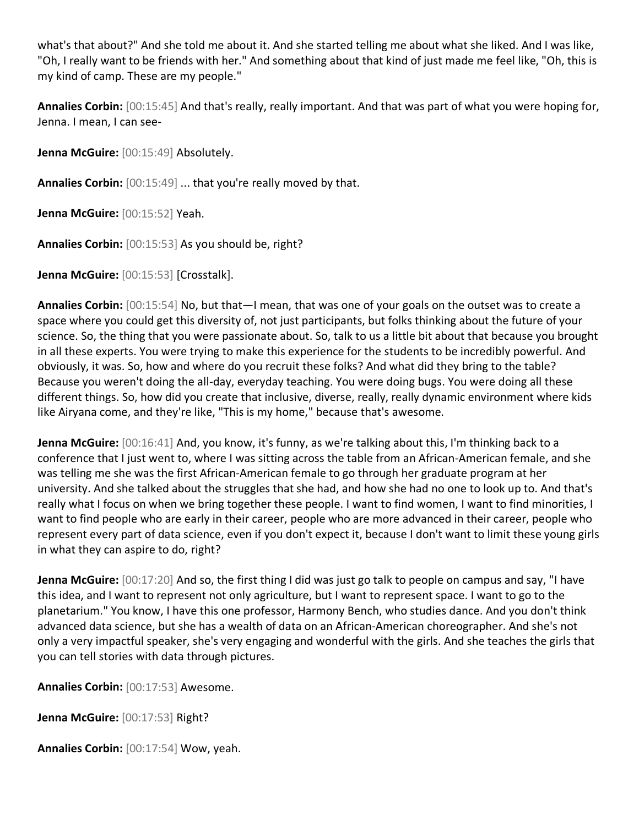what's that about?" And she told me about it. And she started telling me about what she liked. And I was like, "Oh, I really want to be friends with her." And something about that kind of just made me feel like, "Oh, this is my kind of camp. These are my people."

**Annalies Corbin:** [00:15:45] And that's really, really important. And that was part of what you were hoping for, Jenna. I mean, I can see-

**Jenna McGuire:** [00:15:49] Absolutely.

**Annalies Corbin:** [00:15:49] ... that you're really moved by that.

**Jenna McGuire:** [00:15:52] Yeah.

**Annalies Corbin:** [00:15:53] As you should be, right?

**Jenna McGuire:** [00:15:53] [Crosstalk].

**Annalies Corbin:** [00:15:54] No, but that—I mean, that was one of your goals on the outset was to create a space where you could get this diversity of, not just participants, but folks thinking about the future of your science. So, the thing that you were passionate about. So, talk to us a little bit about that because you brought in all these experts. You were trying to make this experience for the students to be incredibly powerful. And obviously, it was. So, how and where do you recruit these folks? And what did they bring to the table? Because you weren't doing the all-day, everyday teaching. You were doing bugs. You were doing all these different things. So, how did you create that inclusive, diverse, really, really dynamic environment where kids like Airyana come, and they're like, "This is my home," because that's awesome.

**Jenna McGuire:** [00:16:41] And, you know, it's funny, as we're talking about this, I'm thinking back to a conference that I just went to, where I was sitting across the table from an African-American female, and she was telling me she was the first African-American female to go through her graduate program at her university. And she talked about the struggles that she had, and how she had no one to look up to. And that's really what I focus on when we bring together these people. I want to find women, I want to find minorities, I want to find people who are early in their career, people who are more advanced in their career, people who represent every part of data science, even if you don't expect it, because I don't want to limit these young girls in what they can aspire to do, right?

**Jenna McGuire:** [00:17:20] And so, the first thing I did was just go talk to people on campus and say, "I have this idea, and I want to represent not only agriculture, but I want to represent space. I want to go to the planetarium." You know, I have this one professor, Harmony Bench, who studies dance. And you don't think advanced data science, but she has a wealth of data on an African-American choreographer. And she's not only a very impactful speaker, she's very engaging and wonderful with the girls. And she teaches the girls that you can tell stories with data through pictures.

**Annalies Corbin:** [00:17:53] Awesome.

**Jenna McGuire:** [00:17:53] Right?

**Annalies Corbin:** [00:17:54] Wow, yeah.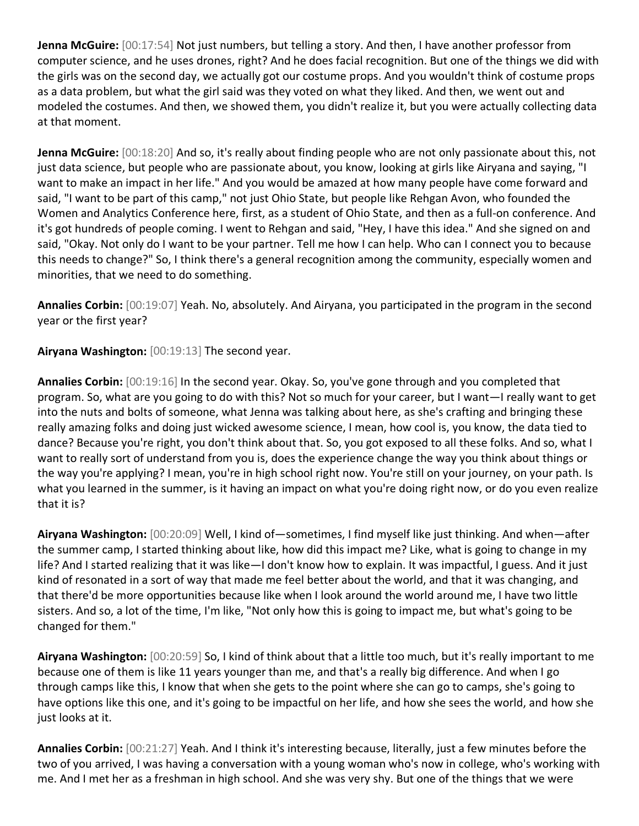**Jenna McGuire:** [00:17:54] Not just numbers, but telling a story. And then, I have another professor from computer science, and he uses drones, right? And he does facial recognition. But one of the things we did with the girls was on the second day, we actually got our costume props. And you wouldn't think of costume props as a data problem, but what the girl said was they voted on what they liked. And then, we went out and modeled the costumes. And then, we showed them, you didn't realize it, but you were actually collecting data at that moment.

**Jenna McGuire:** [00:18:20] And so, it's really about finding people who are not only passionate about this, not just data science, but people who are passionate about, you know, looking at girls like Airyana and saying, "I want to make an impact in her life." And you would be amazed at how many people have come forward and said, "I want to be part of this camp," not just Ohio State, but people like Rehgan Avon, who founded the Women and Analytics Conference here, first, as a student of Ohio State, and then as a full-on conference. And it's got hundreds of people coming. I went to Rehgan and said, "Hey, I have this idea." And she signed on and said, "Okay. Not only do I want to be your partner. Tell me how I can help. Who can I connect you to because this needs to change?" So, I think there's a general recognition among the community, especially women and minorities, that we need to do something.

**Annalies Corbin:** [00:19:07] Yeah. No, absolutely. And Airyana, you participated in the program in the second year or the first year?

**Airyana Washington:** [00:19:13] The second year.

**Annalies Corbin:** [00:19:16] In the second year. Okay. So, you've gone through and you completed that program. So, what are you going to do with this? Not so much for your career, but I want—I really want to get into the nuts and bolts of someone, what Jenna was talking about here, as she's crafting and bringing these really amazing folks and doing just wicked awesome science, I mean, how cool is, you know, the data tied to dance? Because you're right, you don't think about that. So, you got exposed to all these folks. And so, what I want to really sort of understand from you is, does the experience change the way you think about things or the way you're applying? I mean, you're in high school right now. You're still on your journey, on your path. Is what you learned in the summer, is it having an impact on what you're doing right now, or do you even realize that it is?

**Airyana Washington:** [00:20:09] Well, I kind of—sometimes, I find myself like just thinking. And when—after the summer camp, I started thinking about like, how did this impact me? Like, what is going to change in my life? And I started realizing that it was like—I don't know how to explain. It was impactful, I guess. And it just kind of resonated in a sort of way that made me feel better about the world, and that it was changing, and that there'd be more opportunities because like when I look around the world around me, I have two little sisters. And so, a lot of the time, I'm like, "Not only how this is going to impact me, but what's going to be changed for them."

**Airyana Washington:** [00:20:59] So, I kind of think about that a little too much, but it's really important to me because one of them is like 11 years younger than me, and that's a really big difference. And when I go through camps like this, I know that when she gets to the point where she can go to camps, she's going to have options like this one, and it's going to be impactful on her life, and how she sees the world, and how she just looks at it.

**Annalies Corbin:** [00:21:27] Yeah. And I think it's interesting because, literally, just a few minutes before the two of you arrived, I was having a conversation with a young woman who's now in college, who's working with me. And I met her as a freshman in high school. And she was very shy. But one of the things that we were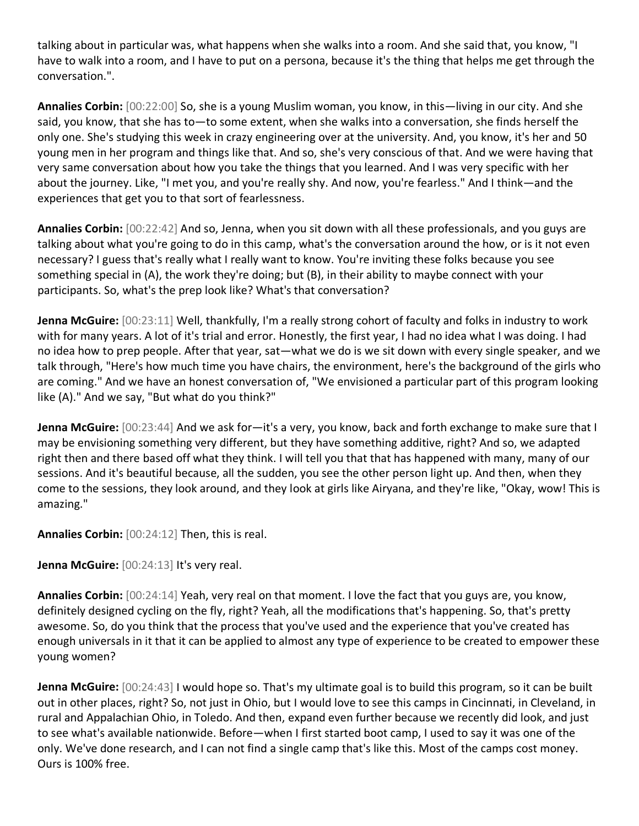talking about in particular was, what happens when she walks into a room. And she said that, you know, "I have to walk into a room, and I have to put on a persona, because it's the thing that helps me get through the conversation.".

**Annalies Corbin:** [00:22:00] So, she is a young Muslim woman, you know, in this—living in our city. And she said, you know, that she has to—to some extent, when she walks into a conversation, she finds herself the only one. She's studying this week in crazy engineering over at the university. And, you know, it's her and 50 young men in her program and things like that. And so, she's very conscious of that. And we were having that very same conversation about how you take the things that you learned. And I was very specific with her about the journey. Like, "I met you, and you're really shy. And now, you're fearless." And I think—and the experiences that get you to that sort of fearlessness.

**Annalies Corbin:** [00:22:42] And so, Jenna, when you sit down with all these professionals, and you guys are talking about what you're going to do in this camp, what's the conversation around the how, or is it not even necessary? I guess that's really what I really want to know. You're inviting these folks because you see something special in (A), the work they're doing; but (B), in their ability to maybe connect with your participants. So, what's the prep look like? What's that conversation?

**Jenna McGuire:** [00:23:11] Well, thankfully, I'm a really strong cohort of faculty and folks in industry to work with for many years. A lot of it's trial and error. Honestly, the first year, I had no idea what I was doing. I had no idea how to prep people. After that year, sat—what we do is we sit down with every single speaker, and we talk through, "Here's how much time you have chairs, the environment, here's the background of the girls who are coming." And we have an honest conversation of, "We envisioned a particular part of this program looking like (A)." And we say, "But what do you think?"

**Jenna McGuire:** [00:23:44] And we ask for—it's a very, you know, back and forth exchange to make sure that I may be envisioning something very different, but they have something additive, right? And so, we adapted right then and there based off what they think. I will tell you that that has happened with many, many of our sessions. And it's beautiful because, all the sudden, you see the other person light up. And then, when they come to the sessions, they look around, and they look at girls like Airyana, and they're like, "Okay, wow! This is amazing."

**Annalies Corbin:** [00:24:12] Then, this is real.

Jenna McGuire: [00:24:13] It's very real.

**Annalies Corbin:** [00:24:14] Yeah, very real on that moment. I love the fact that you guys are, you know, definitely designed cycling on the fly, right? Yeah, all the modifications that's happening. So, that's pretty awesome. So, do you think that the process that you've used and the experience that you've created has enough universals in it that it can be applied to almost any type of experience to be created to empower these young women?

**Jenna McGuire:** [00:24:43] I would hope so. That's my ultimate goal is to build this program, so it can be built out in other places, right? So, not just in Ohio, but I would love to see this camps in Cincinnati, in Cleveland, in rural and Appalachian Ohio, in Toledo. And then, expand even further because we recently did look, and just to see what's available nationwide. Before—when I first started boot camp, I used to say it was one of the only. We've done research, and I can not find a single camp that's like this. Most of the camps cost money. Ours is 100% free.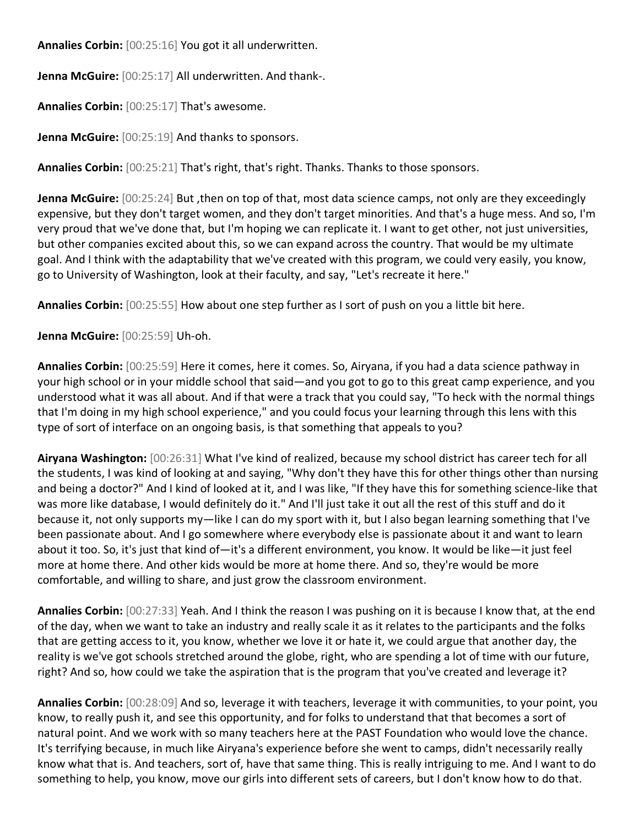**Annalies Corbin:** [00:25:16] You got it all underwritten.

**Jenna McGuire:** [00:25:17] All underwritten. And thank-.

**Annalies Corbin:** [00:25:17] That's awesome.

**Jenna McGuire:** [00:25:19] And thanks to sponsors.

**Annalies Corbin:** [00:25:21] That's right, that's right. Thanks. Thanks to those sponsors.

**Jenna McGuire:** [00:25:24] But ,then on top of that, most data science camps, not only are they exceedingly expensive, but they don't target women, and they don't target minorities. And that's a huge mess. And so, I'm very proud that we've done that, but I'm hoping we can replicate it. I want to get other, not just universities, but other companies excited about this, so we can expand across the country. That would be my ultimate goal. And I think with the adaptability that we've created with this program, we could very easily, you know, go to University of Washington, look at their faculty, and say, "Let's recreate it here."

**Annalies Corbin:** [00:25:55] How about one step further as I sort of push on you a little bit here.

**Jenna McGuire:** [00:25:59] Uh-oh.

**Annalies Corbin:** [00:25:59] Here it comes, here it comes. So, Airyana, if you had a data science pathway in your high school or in your middle school that said—and you got to go to this great camp experience, and you understood what it was all about. And if that were a track that you could say, "To heck with the normal things that I'm doing in my high school experience," and you could focus your learning through this lens with this type of sort of interface on an ongoing basis, is that something that appeals to you?

**Airyana Washington:** [00:26:31] What I've kind of realized, because my school district has career tech for all the students, I was kind of looking at and saying, "Why don't they have this for other things other than nursing and being a doctor?" And I kind of looked at it, and I was like, "If they have this for something science-like that was more like database, I would definitely do it." And I'll just take it out all the rest of this stuff and do it because it, not only supports my—like I can do my sport with it, but I also began learning something that I've been passionate about. And I go somewhere where everybody else is passionate about it and want to learn about it too. So, it's just that kind of—it's a different environment, you know. It would be like—it just feel more at home there. And other kids would be more at home there. And so, they're would be more comfortable, and willing to share, and just grow the classroom environment.

**Annalies Corbin:** [00:27:33] Yeah. And I think the reason I was pushing on it is because I know that, at the end of the day, when we want to take an industry and really scale it as it relates to the participants and the folks that are getting access to it, you know, whether we love it or hate it, we could argue that another day, the reality is we've got schools stretched around the globe, right, who are spending a lot of time with our future, right? And so, how could we take the aspiration that is the program that you've created and leverage it?

**Annalies Corbin:** [00:28:09] And so, leverage it with teachers, leverage it with communities, to your point, you know, to really push it, and see this opportunity, and for folks to understand that that becomes a sort of natural point. And we work with so many teachers here at the PAST Foundation who would love the chance. It's terrifying because, in much like Airyana's experience before she went to camps, didn't necessarily really know what that is. And teachers, sort of, have that same thing. This is really intriguing to me. And I want to do something to help, you know, move our girls into different sets of careers, but I don't know how to do that.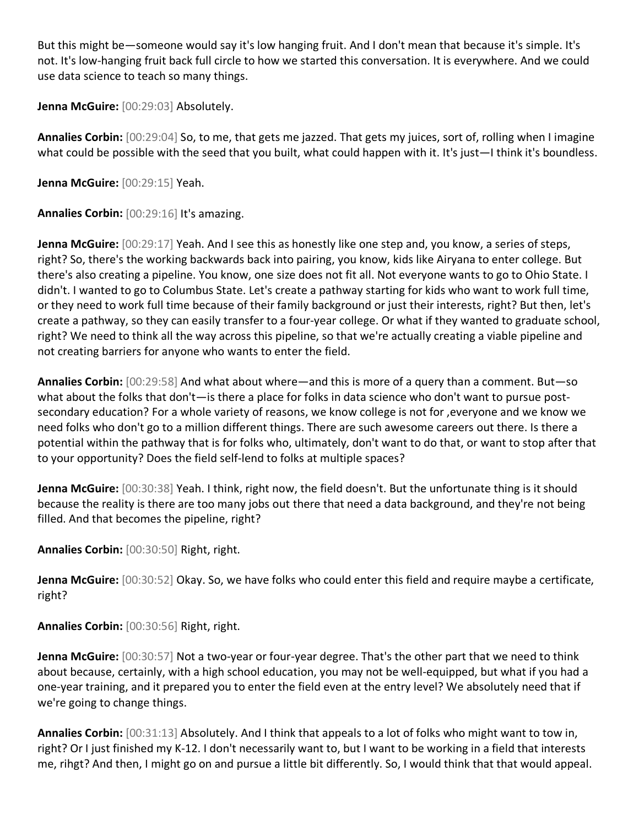But this might be—someone would say it's low hanging fruit. And I don't mean that because it's simple. It's not. It's low-hanging fruit back full circle to how we started this conversation. It is everywhere. And we could use data science to teach so many things.

**Jenna McGuire:** [00:29:03] Absolutely.

**Annalies Corbin:** [00:29:04] So, to me, that gets me jazzed. That gets my juices, sort of, rolling when I imagine what could be possible with the seed that you built, what could happen with it. It's just—I think it's boundless.

**Jenna McGuire:** [00:29:15] Yeah.

**Annalies Corbin:** [00:29:16] It's amazing.

**Jenna McGuire:** [00:29:17] Yeah. And I see this as honestly like one step and, you know, a series of steps, right? So, there's the working backwards back into pairing, you know, kids like Airyana to enter college. But there's also creating a pipeline. You know, one size does not fit all. Not everyone wants to go to Ohio State. I didn't. I wanted to go to Columbus State. Let's create a pathway starting for kids who want to work full time, or they need to work full time because of their family background or just their interests, right? But then, let's create a pathway, so they can easily transfer to a four-year college. Or what if they wanted to graduate school, right? We need to think all the way across this pipeline, so that we're actually creating a viable pipeline and not creating barriers for anyone who wants to enter the field.

**Annalies Corbin:** [00:29:58] And what about where—and this is more of a query than a comment. But—so what about the folks that don't—is there a place for folks in data science who don't want to pursue postsecondary education? For a whole variety of reasons, we know college is not for ,everyone and we know we need folks who don't go to a million different things. There are such awesome careers out there. Is there a potential within the pathway that is for folks who, ultimately, don't want to do that, or want to stop after that to your opportunity? Does the field self-lend to folks at multiple spaces?

**Jenna McGuire:** [00:30:38] Yeah. I think, right now, the field doesn't. But the unfortunate thing is it should because the reality is there are too many jobs out there that need a data background, and they're not being filled. And that becomes the pipeline, right?

**Annalies Corbin:** [00:30:50] Right, right.

**Jenna McGuire:** [00:30:52] Okay. So, we have folks who could enter this field and require maybe a certificate, right?

**Annalies Corbin:** [00:30:56] Right, right.

**Jenna McGuire:** [00:30:57] Not a two-year or four-year degree. That's the other part that we need to think about because, certainly, with a high school education, you may not be well-equipped, but what if you had a one-year training, and it prepared you to enter the field even at the entry level? We absolutely need that if we're going to change things.

**Annalies Corbin:** [00:31:13] Absolutely. And I think that appeals to a lot of folks who might want to tow in, right? Or I just finished my K-12. I don't necessarily want to, but I want to be working in a field that interests me, rihgt? And then, I might go on and pursue a little bit differently. So, I would think that that would appeal.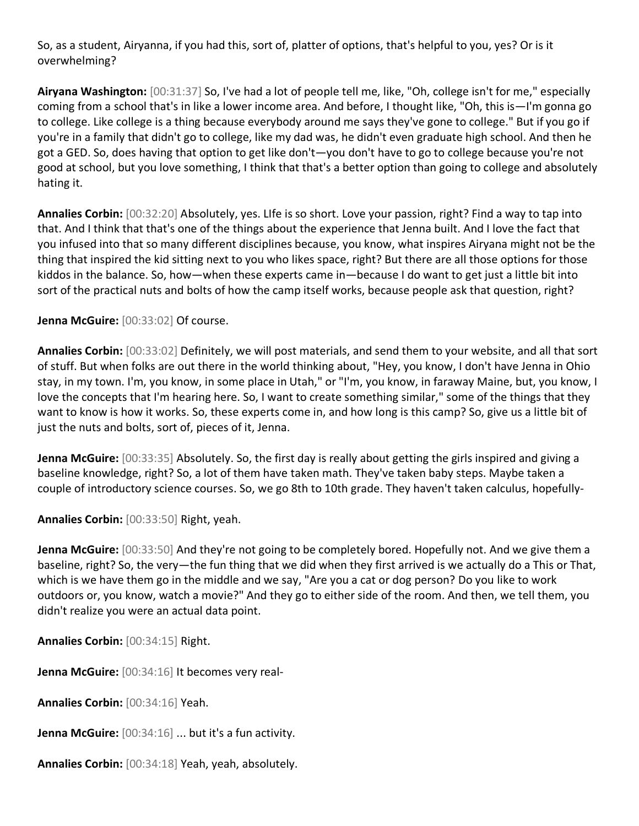So, as a student, Airyanna, if you had this, sort of, platter of options, that's helpful to you, yes? Or is it overwhelming?

**Airyana Washington:** [00:31:37] So, I've had a lot of people tell me, like, "Oh, college isn't for me," especially coming from a school that's in like a lower income area. And before, I thought like, "Oh, this is—I'm gonna go to college. Like college is a thing because everybody around me says they've gone to college." But if you go if you're in a family that didn't go to college, like my dad was, he didn't even graduate high school. And then he got a GED. So, does having that option to get like don't—you don't have to go to college because you're not good at school, but you love something, I think that that's a better option than going to college and absolutely hating it.

**Annalies Corbin:** [00:32:20] Absolutely, yes. LIfe is so short. Love your passion, right? Find a way to tap into that. And I think that that's one of the things about the experience that Jenna built. And I love the fact that you infused into that so many different disciplines because, you know, what inspires Airyana might not be the thing that inspired the kid sitting next to you who likes space, right? But there are all those options for those kiddos in the balance. So, how—when these experts came in—because I do want to get just a little bit into sort of the practical nuts and bolts of how the camp itself works, because people ask that question, right?

**Jenna McGuire:** [00:33:02] Of course.

**Annalies Corbin:** [00:33:02] Definitely, we will post materials, and send them to your website, and all that sort of stuff. But when folks are out there in the world thinking about, "Hey, you know, I don't have Jenna in Ohio stay, in my town. I'm, you know, in some place in Utah," or "I'm, you know, in faraway Maine, but, you know, I love the concepts that I'm hearing here. So, I want to create something similar," some of the things that they want to know is how it works. So, these experts come in, and how long is this camp? So, give us a little bit of just the nuts and bolts, sort of, pieces of it, Jenna.

**Jenna McGuire:** [00:33:35] Absolutely. So, the first day is really about getting the girls inspired and giving a baseline knowledge, right? So, a lot of them have taken math. They've taken baby steps. Maybe taken a couple of introductory science courses. So, we go 8th to 10th grade. They haven't taken calculus, hopefully-

**Annalies Corbin:** [00:33:50] Right, yeah.

**Jenna McGuire:** [00:33:50] And they're not going to be completely bored. Hopefully not. And we give them a baseline, right? So, the very—the fun thing that we did when they first arrived is we actually do a This or That, which is we have them go in the middle and we say, "Are you a cat or dog person? Do you like to work outdoors or, you know, watch a movie?" And they go to either side of the room. And then, we tell them, you didn't realize you were an actual data point.

**Annalies Corbin:** [00:34:15] Right.

**Jenna McGuire:** [00:34:16] It becomes very real-

**Annalies Corbin:** [00:34:16] Yeah.

**Jenna McGuire:** [00:34:16] ... but it's a fun activity.

**Annalies Corbin:** [00:34:18] Yeah, yeah, absolutely.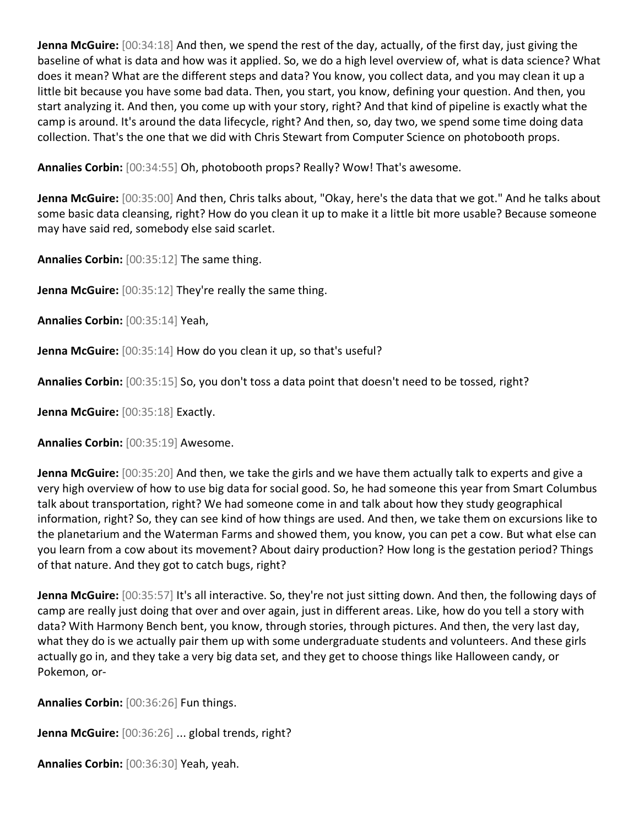**Jenna McGuire:** [00:34:18] And then, we spend the rest of the day, actually, of the first day, just giving the baseline of what is data and how was it applied. So, we do a high level overview of, what is data science? What does it mean? What are the different steps and data? You know, you collect data, and you may clean it up a little bit because you have some bad data. Then, you start, you know, defining your question. And then, you start analyzing it. And then, you come up with your story, right? And that kind of pipeline is exactly what the camp is around. It's around the data lifecycle, right? And then, so, day two, we spend some time doing data collection. That's the one that we did with Chris Stewart from Computer Science on photobooth props.

**Annalies Corbin:** [00:34:55] Oh, photobooth props? Really? Wow! That's awesome.

**Jenna McGuire:** [00:35:00] And then, Chris talks about, "Okay, here's the data that we got." And he talks about some basic data cleansing, right? How do you clean it up to make it a little bit more usable? Because someone may have said red, somebody else said scarlet.

**Annalies Corbin:** [00:35:12] The same thing.

**Jenna McGuire:** [00:35:12] They're really the same thing.

**Annalies Corbin:** [00:35:14] Yeah,

**Jenna McGuire:** [00:35:14] How do you clean it up, so that's useful?

**Annalies Corbin:** [00:35:15] So, you don't toss a data point that doesn't need to be tossed, right?

**Jenna McGuire:** [00:35:18] Exactly.

**Annalies Corbin:** [00:35:19] Awesome.

**Jenna McGuire:** [00:35:20] And then, we take the girls and we have them actually talk to experts and give a very high overview of how to use big data for social good. So, he had someone this year from Smart Columbus talk about transportation, right? We had someone come in and talk about how they study geographical information, right? So, they can see kind of how things are used. And then, we take them on excursions like to the planetarium and the Waterman Farms and showed them, you know, you can pet a cow. But what else can you learn from a cow about its movement? About dairy production? How long is the gestation period? Things of that nature. And they got to catch bugs, right?

**Jenna McGuire:** [00:35:57] It's all interactive. So, they're not just sitting down. And then, the following days of camp are really just doing that over and over again, just in different areas. Like, how do you tell a story with data? With Harmony Bench bent, you know, through stories, through pictures. And then, the very last day, what they do is we actually pair them up with some undergraduate students and volunteers. And these girls actually go in, and they take a very big data set, and they get to choose things like Halloween candy, or Pokemon, or-

**Annalies Corbin:** [00:36:26] Fun things.

**Jenna McGuire:** [00:36:26] ... global trends, right?

**Annalies Corbin:** [00:36:30] Yeah, yeah.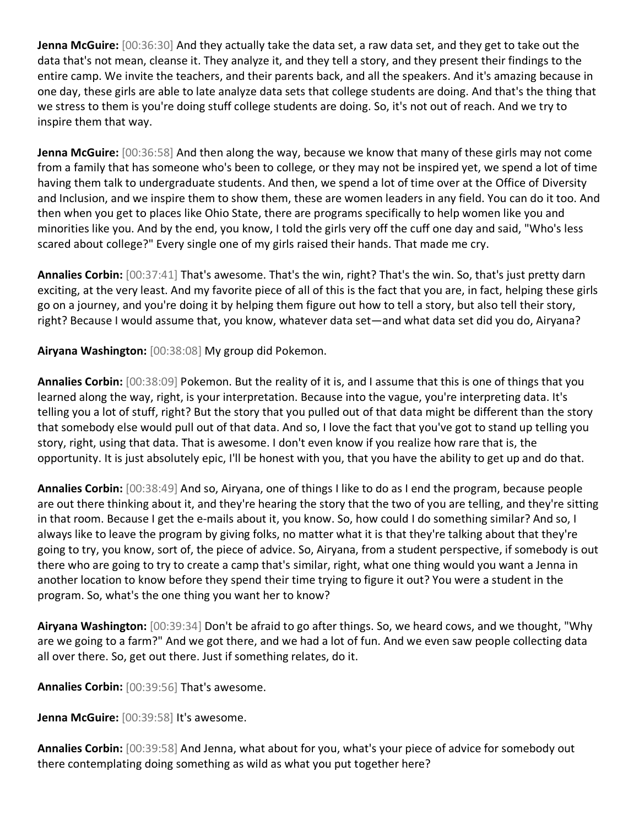**Jenna McGuire:** [00:36:30] And they actually take the data set, a raw data set, and they get to take out the data that's not mean, cleanse it. They analyze it, and they tell a story, and they present their findings to the entire camp. We invite the teachers, and their parents back, and all the speakers. And it's amazing because in one day, these girls are able to late analyze data sets that college students are doing. And that's the thing that we stress to them is you're doing stuff college students are doing. So, it's not out of reach. And we try to inspire them that way.

**Jenna McGuire:** [00:36:58] And then along the way, because we know that many of these girls may not come from a family that has someone who's been to college, or they may not be inspired yet, we spend a lot of time having them talk to undergraduate students. And then, we spend a lot of time over at the Office of Diversity and Inclusion, and we inspire them to show them, these are women leaders in any field. You can do it too. And then when you get to places like Ohio State, there are programs specifically to help women like you and minorities like you. And by the end, you know, I told the girls very off the cuff one day and said, "Who's less scared about college?" Every single one of my girls raised their hands. That made me cry.

**Annalies Corbin:** [00:37:41] That's awesome. That's the win, right? That's the win. So, that's just pretty darn exciting, at the very least. And my favorite piece of all of this is the fact that you are, in fact, helping these girls go on a journey, and you're doing it by helping them figure out how to tell a story, but also tell their story, right? Because I would assume that, you know, whatever data set—and what data set did you do, Airyana?

**Airyana Washington:** [00:38:08] My group did Pokemon.

**Annalies Corbin:** [00:38:09] Pokemon. But the reality of it is, and I assume that this is one of things that you learned along the way, right, is your interpretation. Because into the vague, you're interpreting data. It's telling you a lot of stuff, right? But the story that you pulled out of that data might be different than the story that somebody else would pull out of that data. And so, I love the fact that you've got to stand up telling you story, right, using that data. That is awesome. I don't even know if you realize how rare that is, the opportunity. It is just absolutely epic, I'll be honest with you, that you have the ability to get up and do that.

**Annalies Corbin:** [00:38:49] And so, Airyana, one of things I like to do as I end the program, because people are out there thinking about it, and they're hearing the story that the two of you are telling, and they're sitting in that room. Because I get the e-mails about it, you know. So, how could I do something similar? And so, I always like to leave the program by giving folks, no matter what it is that they're talking about that they're going to try, you know, sort of, the piece of advice. So, Airyana, from a student perspective, if somebody is out there who are going to try to create a camp that's similar, right, what one thing would you want a Jenna in another location to know before they spend their time trying to figure it out? You were a student in the program. So, what's the one thing you want her to know?

**Airyana Washington:** [00:39:34] Don't be afraid to go after things. So, we heard cows, and we thought, "Why are we going to a farm?" And we got there, and we had a lot of fun. And we even saw people collecting data all over there. So, get out there. Just if something relates, do it.

**Annalies Corbin:** [00:39:56] That's awesome.

**Jenna McGuire:** [00:39:58] It's awesome.

**Annalies Corbin:** [00:39:58] And Jenna, what about for you, what's your piece of advice for somebody out there contemplating doing something as wild as what you put together here?